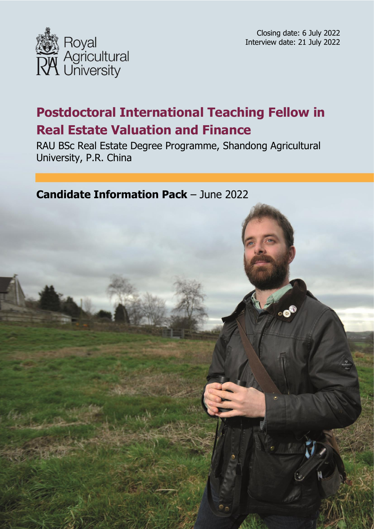



# **Postdoctoral International Teaching Fellow in Real Estate Valuation and Finance**

RAU BSc Real Estate Degree Programme, Shandong Agricultural University, P.R. China

**Candidate Information Pack** – June 2022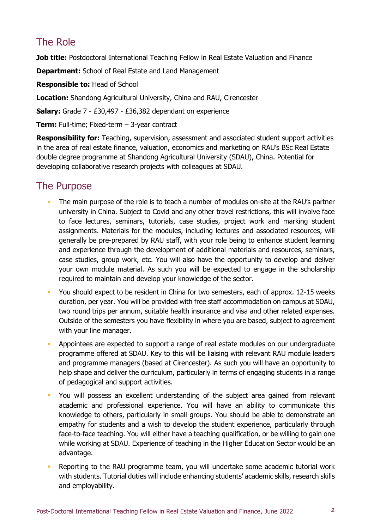# The Role

**Job title:** Postdoctoral International Teaching Fellow in Real Estate Valuation and Finance

**Department:** School of Real Estate and Land Management

**Responsible to:** Head of School

**Location:** Shandong Agricultural University, China and RAU, Cirencester

**Salary:** Grade 7 - £30,497 - £36,382 dependant on experience

**Term:** Full-time; Fixed-term – 3-year contract

**Responsibility for:** Teaching, supervision, assessment and associated student support activities in the area of real estate finance, valuation, economics and marketing on RAU's BSc Real Estate double degree programme at Shandong Agricultural University (SDAU), China. Potential for developing collaborative research projects with colleagues at SDAU.

# The Purpose

- The main purpose of the role is to teach a number of modules on-site at the RAU's partner university in China. Subject to Covid and any other travel restrictions, this will involve face to face lectures, seminars, tutorials, case studies, project work and marking student assignments. Materials for the modules, including lectures and associated resources, will generally be pre-prepared by RAU staff, with your role being to enhance student learning case studies, group work, etc. You will also have the opportunity to develop and deliver your own module material. As such you will be expected to engage in the scholarship and experience through the development of additional materials and resources, seminars, required to maintain and develop your knowledge of the sector.
- You should expect to be resident in China for two semesters, each of approx. 12-15 weeks duration, per year. You will be provided with free staff accommodation on campus at SDAU, two round trips per annum, suitable health insurance and visa and other related expenses. Outside of the semesters you have flexibility in where you are based, subject to agreement with your line manager.
- **•** Appointees are expected to support a range of real estate modules on our undergraduate programme offered at SDAU. Key to this will be liaising with relevant RAU module leaders and programme managers (based at Cirencester). As such you will have an opportunity to help shape and deliver the curriculum, particularly in terms of engaging students in a range of pedagogical and support activities.
- academic and professional experience. You will have an ability to communicate this knowledge to others, particularly in small groups. You should be able to demonstrate an empathy for students and a wish to develop the student experience, particularly through face-to-face teaching. You will either have a teaching qualification, or be willing to gain one while working at SDAU. Experience of teaching in the Higher Education Sector would be an You will possess an excellent understanding of the subject area gained from relevant advantage.
- Reporting to the RAU programme team, you will undertake some academic tutorial work with students. Tutorial duties will include enhancing students' academic skills, research skills and employability.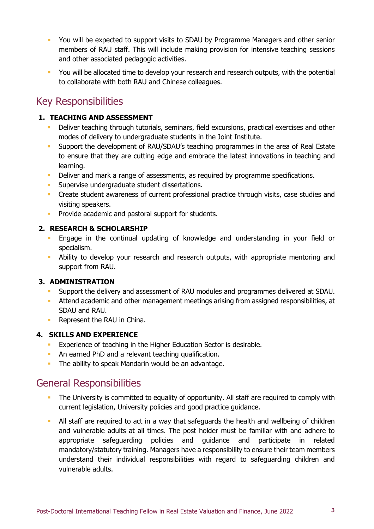- You will be expected to support visits to SDAU by Programme Managers and other senior members of RAU staff. This will include making provision for intensive teaching sessions and other associated pedagogic activities.
- **•** You will be allocated time to develop your research and research outputs, with the potential to collaborate with both RAU and Chinese colleagues.

### Key Responsibilities

#### **1. TEACHING AND ASSESSMENT**

- Deliver teaching through tutorials, seminars, field excursions, practical exercises and other modes of delivery to undergraduate students in the Joint Institute.
- Support the development of RAU/SDAU's teaching programmes in the area of Real Estate to ensure that they are cutting edge and embrace the latest innovations in teaching and learning.
- Deliver and mark a range of assessments, as required by programme specifications.
- **Supervise undergraduate student dissertations.**
- **Create student awareness of current professional practice through visits, case studies and** visiting speakers.
- **Provide academic and pastoral support for students.**

#### **2. RESEARCH & SCHOLARSHIP**

- Engage in the continual updating of knowledge and understanding in your field or specialism.
- Ability to develop your research and research outputs, with appropriate mentoring and support from RAU.

#### **3. ADMINISTRATION**

- Support the delivery and assessment of RAU modules and programmes delivered at SDAU.
- Attend academic and other management meetings arising from assigned responsibilities, at SDAU and RAU.
- **Represent the RAU in China.**

#### **4. SKILLS AND EXPERIENCE**

- Experience of teaching in the Higher Education Sector is desirable.
- **An earned PhD and a relevant teaching qualification.**
- The ability to speak Mandarin would be an advantage.

### General Responsibilities

- The University is committed to equality of opportunity. All staff are required to comply with current legislation, University policies and good practice guidance.
- All staff are required to act in a way that safeguards the health and wellbeing of children and vulnerable adults at all times. The post holder must be familiar with and adhere to mandatory/statutory training. Managers have a responsibility to ensure their team members understand their individual responsibilities with regard to safeguarding children and appropriate safeguarding policies and guidance and participate in related vulnerable adults.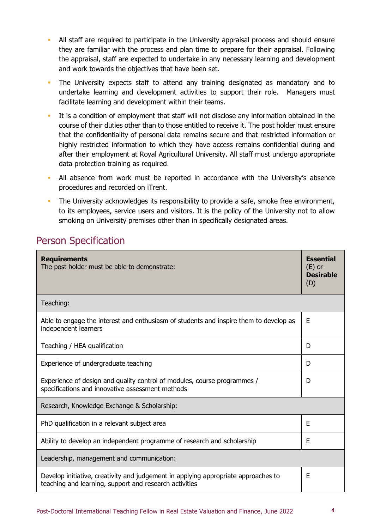- All staff are required to participate in the University appraisal process and should ensure they are familiar with the process and plan time to prepare for their appraisal. Following the appraisal, staff are expected to undertake in any necessary learning and development and work towards the objectives that have been set.
- undertake learning and development activities to support their role. Managers must The University expects staff to attend any training designated as mandatory and to facilitate learning and development within their teams.
- It is a condition of employment that staff will not disclose any information obtained in the course of their duties other than to those entitled to receive it. The post holder must ensure that the confidentiality of personal data remains secure and that restricted information or highly restricted information to which they have access remains confidential during and after their employment at Royal Agricultural University. All staff must undergo appropriate data protection training as required.
- All absence from work must be reported in accordance with the University's absence procedures and recorded on iTrent.
- **The University acknowledges its responsibility to provide a safe, smoke free environment,**  to its employees, service users and visitors. It is the policy of the University not to allow smoking on University premises other than in specifically designated areas.

## Person Specification

| <b>Requirements</b><br>The post holder must be able to demonstrate:                                                                          | <b>Essential</b><br>$(E)$ or<br><b>Desirable</b><br>(D) |
|----------------------------------------------------------------------------------------------------------------------------------------------|---------------------------------------------------------|
| Teaching:                                                                                                                                    |                                                         |
| Able to engage the interest and enthusiasm of students and inspire them to develop as<br>independent learners                                | Ε                                                       |
| Teaching / HEA qualification                                                                                                                 | D                                                       |
| Experience of undergraduate teaching                                                                                                         | D                                                       |
| Experience of design and quality control of modules, course programmes /<br>specifications and innovative assessment methods                 | D                                                       |
| Research, Knowledge Exchange & Scholarship:                                                                                                  |                                                         |
| PhD qualification in a relevant subject area                                                                                                 | E                                                       |
| Ability to develop an independent programme of research and scholarship                                                                      | E                                                       |
| Leadership, management and communication:                                                                                                    |                                                         |
| Develop initiative, creativity and judgement in applying appropriate approaches to<br>teaching and learning, support and research activities | E                                                       |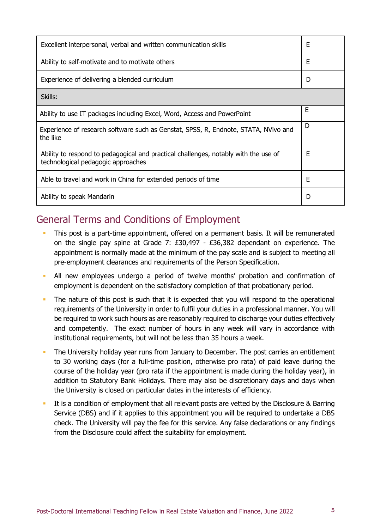| Excellent interpersonal, verbal and written communication skills                                                          | E |
|---------------------------------------------------------------------------------------------------------------------------|---|
| Ability to self-motivate and to motivate others                                                                           | Ε |
| Experience of delivering a blended curriculum                                                                             | D |
| Skills:                                                                                                                   |   |
| Ability to use IT packages including Excel, Word, Access and PowerPoint                                                   | Ε |
| Experience of research software such as Genstat, SPSS, R, Endnote, STATA, NVivo and<br>the like                           | D |
| Ability to respond to pedagogical and practical challenges, notably with the use of<br>technological pedagogic approaches | E |
| Able to travel and work in China for extended periods of time                                                             | Е |
| Ability to speak Mandarin                                                                                                 | D |

### General Terms and Conditions of Employment

- This post is a part-time appointment, offered on a permanent basis. It will be remunerated on the single pay spine at Grade 7: £30,497 - £36,382 dependant on experience. The appointment is normally made at the minimum of the pay scale and is subject to meeting all pre-employment clearances and requirements of the Person Specification.
- All new employees undergo a period of twelve months' probation and confirmation of employment is dependent on the satisfactory completion of that probationary period.
- The nature of this post is such that it is expected that you will respond to the operational requirements of the University in order to fulfil your duties in a professional manner. You will be required to work such hours as are reasonably required to discharge your duties effectively and competently. The exact number of hours in any week will vary in accordance with institutional requirements, but will not be less than 35 hours a week.
- The University holiday year runs from January to December. The post carries an entitlement to 30 working days (for a full-time position, otherwise pro rata) of paid leave during the course of the holiday year (pro rata if the appointment is made during the holiday year), in addition to Statutory Bank Holidays. There may also be discretionary days and days when the University is closed on particular dates in the interests of efficiency.
- It is a condition of employment that all relevant posts are vetted by the Disclosure & Barring Service (DBS) and if it applies to this appointment you will be required to undertake a DBS check. The University will pay the fee for this service. Any false declarations or any findings from the Disclosure could affect the suitability for employment.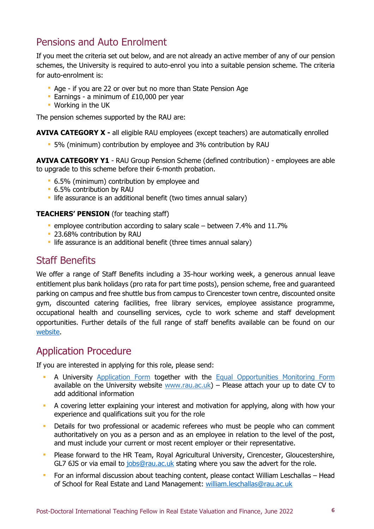## Pensions and Auto Enrolment

 If you meet the criteria set out below, and are not already an active member of any of our pension schemes, the University is required to auto-enrol you into a suitable pension scheme. The criteria for auto-enrolment is:

- Age if you are 22 or over but no more than State Pension Age
- **Earnings a minimum of £10,000 per year**
- Working in the UK

The pension schemes supported by the RAU are:

**AVIVA CATEGORY X -** all eligible RAU employees (except teachers) are automatically enrolled

5% (minimum) contribution by employee and 3% contribution by RAU

 **AVIVA CATEGORY Y1** - RAU Group Pension Scheme (defined contribution) - employees are able to upgrade to this scheme before their 6-month probation.

- 6.5% (minimum) contribution by employee and
- 6.5% contribution by RAU
- **I** life assurance is an additional benefit (two times annual salary)

#### **TEACHERS' PENSION** (for teaching staff)

- employee contribution according to salary scale between 7.4% and 11.7%
- 23.68% contribution by RAU
- life assurance is an additional benefit (three times annual salary)

### Staff Benefits

 We offer a range of Staff Benefits including a 35-hour working week, a generous annual leave entitlement plus bank holidays (pro rata for part time posts), pension scheme, free and guaranteed parking on campus and free shuttle bus from campus to Cirencester town centre, discounted onsite gym, discounted catering facilities, free library services, employee assistance programme, occupational health and counselling services, cycle to work scheme and staff development opportunities. Further details of the full range of staff benefits available can be found on our [website.](https://www.rau.ac.uk/about/jobs/benefits-working-us)

### Application Procedure

If you are interested in applying for this role, please send:

- **A University [Application Form](https://www.rau.ac.uk/sites/default/files/rau/Application%20Form%20.docx) together with the Equal Opportunities Monitoring Form** available on the University website [www.rau.ac.uk\)](http://www.rau.ac.uk/) – Please attach your up to date CV to add additional information
- A covering letter explaining your interest and motivation for applying, along with how your experience and qualifications suit you for the role
- **Details for two professional or academic referees who must be people who can comment**  authoritatively on you as a person and as an employee in relation to the level of the post, and must include your current or most recent employer or their representative.
- Please forward to the HR Team, Royal Agricultural University, Cirencester, Gloucestershire, GL7 6JS or via email to [jobs@rau.ac.uk](mailto:jobs@rau.ac.uk) stating where you saw the advert for the role.
- For an informal discussion about teaching content, please contact William Leschallas Head of School for Real Estate and Land Management: william.leschallas@rau.ac.uk